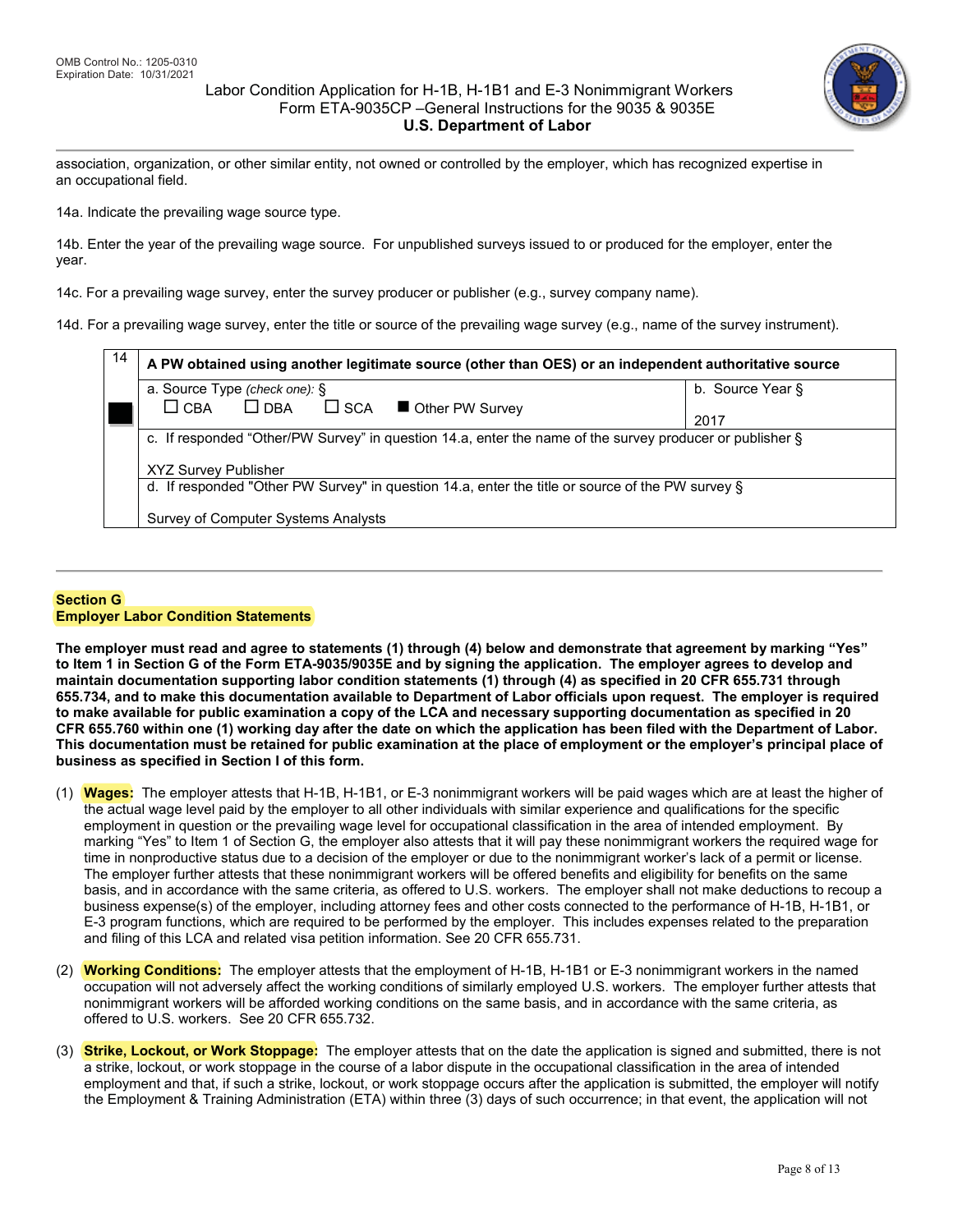## Labor Condition Application for H-1B, H-1B1 and E-3 Nonimmigrant Workers Form ETA-9035CP –General Instructions for the 9035 & 9035E **U.S. Department of Labor**



association, organization, or other similar entity, not owned or controlled by the employer, which has recognized expertise in an occupational field.

14a. Indicate the prevailing wage source type.

14b. Enter the year of the prevailing wage source. For unpublished surveys issued to or produced for the employer, enter the year.

14c. For a prevailing wage survey, enter the survey producer or publisher (e.g., survey company name).

14d. For a prevailing wage survey, enter the title or source of the prevailing wage survey (e.g., name of the survey instrument).

| 14 | A PW obtained using another legitimate source (other than OES) or an independent authoritative source    |                  |  |
|----|----------------------------------------------------------------------------------------------------------|------------------|--|
|    | a. Source Type (check one): §                                                                            | b. Source Year § |  |
|    | $\square$ DBA<br>$\Box$ SCA $\Box$ Other PW Survey<br>$\Box$ CBA                                         | 2017             |  |
|    | c. If responded "Other/PW Survey" in question 14.a, enter the name of the survey producer or publisher § |                  |  |
|    |                                                                                                          |                  |  |
|    | <b>XYZ Survey Publisher</b>                                                                              |                  |  |
|    | d. If responded "Other PW Survey" in question 14.a, enter the title or source of the PW survey §         |                  |  |
|    |                                                                                                          |                  |  |
|    | Survey of Computer Systems Analysts                                                                      |                  |  |

#### **Section G Employer Labor Condition Statements**

**The employer must read and agree to statements (1) through (4) below and demonstrate that agreement by marking "Yes" to Item 1 in Section G of the Form ETA-9035/9035E and by signing the application. The employer agrees to develop and maintain documentation supporting labor condition statements (1) through (4) as specified in 20 CFR 655.731 through 655.734, and to make this documentation available to Department of Labor officials upon request. The employer is required to make available for public examination a copy of the LCA and necessary supporting documentation as specified in 20 CFR 655.760 within one (1) working day after the date on which the application has been filed with the Department of Labor. This documentation must be retained for public examination at the place of employment or the employer's principal place of business as specified in Section I of this form.**

- (1) **Wages:** The employer attests that H-1B, H-1B1, or E-3 nonimmigrant workers will be paid wages which are at least the higher of the actual wage level paid by the employer to all other individuals with similar experience and qualifications for the specific employment in question or the prevailing wage level for occupational classification in the area of intended employment. By marking "Yes" to Item 1 of Section G, the employer also attests that it will pay these nonimmigrant workers the required wage for time in nonproductive status due to a decision of the employer or due to the nonimmigrant worker's lack of a permit or license. The employer further attests that these nonimmigrant workers will be offered benefits and eligibility for benefits on the same basis, and in accordance with the same criteria, as offered to U.S. workers. The employer shall not make deductions to recoup a business expense(s) of the employer, including attorney fees and other costs connected to the performance of H-1B, H-1B1, or E-3 program functions, which are required to be performed by the employer. This includes expenses related to the preparation and filing of this LCA and related visa petition information. See 20 CFR 655.731.
- (2) **Working Conditions:** The employer attests that the employment of H-1B, H-1B1 or E-3 nonimmigrant workers in the named occupation will not adversely affect the working conditions of similarly employed U.S. workers. The employer further attests that nonimmigrant workers will be afforded working conditions on the same basis, and in accordance with the same criteria, as offered to U.S. workers. See 20 CFR 655.732.
- (3) **Strike, Lockout, or Work Stoppage:** The employer attests that on the date the application is signed and submitted, there is not a strike, lockout, or work stoppage in the course of a labor dispute in the occupational classification in the area of intended employment and that, if such a strike, lockout, or work stoppage occurs after the application is submitted, the employer will notify the Employment & Training Administration (ETA) within three (3) days of such occurrence; in that event, the application will not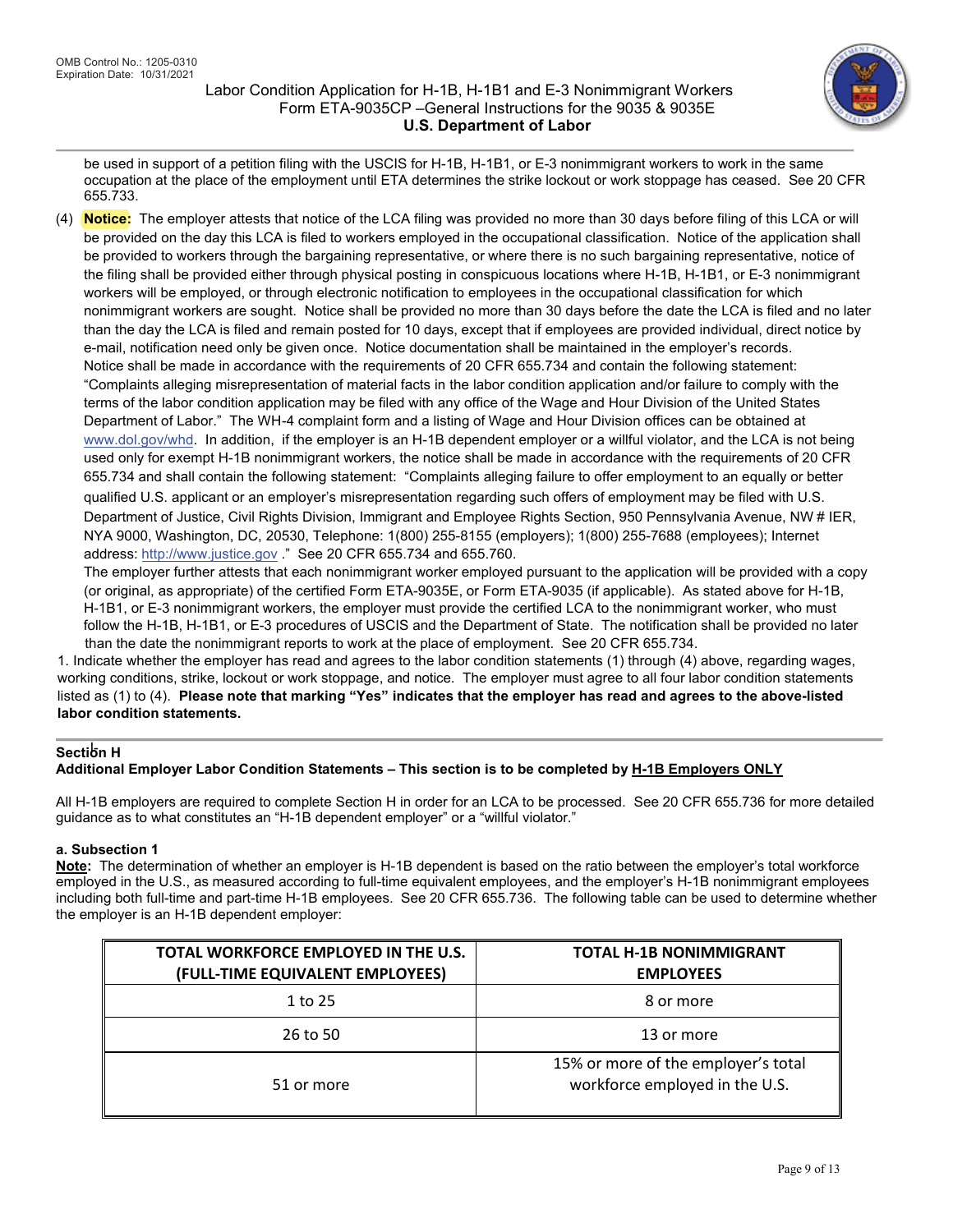

be used in support of a petition filing with the USCIS for H-1B, H-1B1, or E-3 nonimmigrant workers to work in the same occupation at the place of the employment until ETA determines the strike lockout or work stoppage has ceased. See 20 CFR 655.733.

 **Notice:** The employer attests that notice of the LCA filing was provided no more than 30 days before filing of this LCA or will be provided on the day this LCA is filed to workers employed in the occupational classification. Notice of the application shall be provided to workers through the bargaining representative, or where there is no such bargaining representative, notice of the filing shall be provided either through physical posting in conspicuous locations where H-1B, H-1B1, or E-3 nonimmigrant workers will be employed, or through electronic notification to employees in the occupational classification for which nonimmigrant workers are sought. Notice shall be provided no more than 30 days before the date the LCA is filed and no later than the day the LCA is filed and remain posted for 10 days, except that if employees are provided individual, direct notice by e-mail, notification need only be given once. Notice documentation shall be maintained in the employer's records. Notice shall be made in accordance with the requirements of 20 CFR 655.734 and contain the following statement: "Complaints alleging misrepresentation of material facts in the labor condition application and/or failure to comply with the terms of the labor condition application may be filed with any office of the Wage and Hour Division of the United States Department of Labor." The WH-4 complaint form and a listing of Wage and Hour Division offices can be obtained at www.dol.gov/whd. In addition, if the employer is an H-1B dependent employer or a willful violator, and the LCA is not being used only for exempt H-1B nonimmigrant workers, the notice shall be made in accordance with the requirements of 20 CFR 655.734 and shall contain the following statement: "Complaints alleging failure to offer employment to an equally or better qualified U.S. applicant or an employer's misrepresentation regarding such offers of employment may be filed with U.S. Department of Justice, Civil Rights Division, Immigrant and Employee Rights Section, 950 Pennsylvania Avenue, NW # IER, NYA 9000, Washington, DC, 20530, Telephone: 1(800) 255-8155 (employers); 1(800) 255-7688 (employees); Internet address: http://www.justice.gov ." See 20 CFR 655.734 and 655.760.

The employer further attests that each nonimmigrant worker employed pursuant to the application will be provided with a copy (or original, as appropriate) of the certified Form ETA-9035E, or Form ETA-9035 (if applicable). As stated above for H-1B, +1B1, or E-3 nonimmigrant workers, the employer must provide the certified LCA to the nonimmigrant worker, who must follow the H-1B, H-1B1, or E-3 procedures of USCIS and the Department of State. The notification shall be provided no later than the date the nonimmigrant reports to work at the place of employment. See 20 CFR 655.734.

1. Indicate whether the employer has read and agrees to the labor condition statements (1) through (4) above, regarding wages, working conditions, strike, lockout or work stoppage, and notice. The employer must agree to all four labor condition statements listed as (1) to (4). **Please note that marking "Yes" indicates that the employer has read and agrees to the above-listed labor condition statements.**

#### , **Section H**

### **Additional Employer Labor Condition Statements – This section is to be completed by H-1B Employers ONLY**

All H-1B employers are required to complete Section H in order for an LCA to be processed. See 20 CFR 655.736 for more detailed guidance as to what constitutes an "H-1B dependent employer" or a "willful violator."

#### **a. Subsection 1**

**Note:** The determination of whether an employer is H-1B dependent is based on the ratio between the employer's total workforce employed in the U.S., as measured according to full-time equivalent employees, and the employer's H-1B nonimmigrant employees including both full-time and part-time H-1B employees. See 20 CFR 655.736. The following table can be used to determine whether the employer is an H-1B dependent employer:

| TOTAL WORKFORCE EMPLOYED IN THE U.S.<br>(FULL-TIME EQUIVALENT EMPLOYEES) | <b>TOTAL H-1B NONIMMIGRANT</b><br><b>EMPLOYEES</b>                    |
|--------------------------------------------------------------------------|-----------------------------------------------------------------------|
| 1 to 25                                                                  | 8 or more                                                             |
| 26 to 50                                                                 | 13 or more                                                            |
| 51 or more                                                               | 15% or more of the employer's total<br>workforce employed in the U.S. |